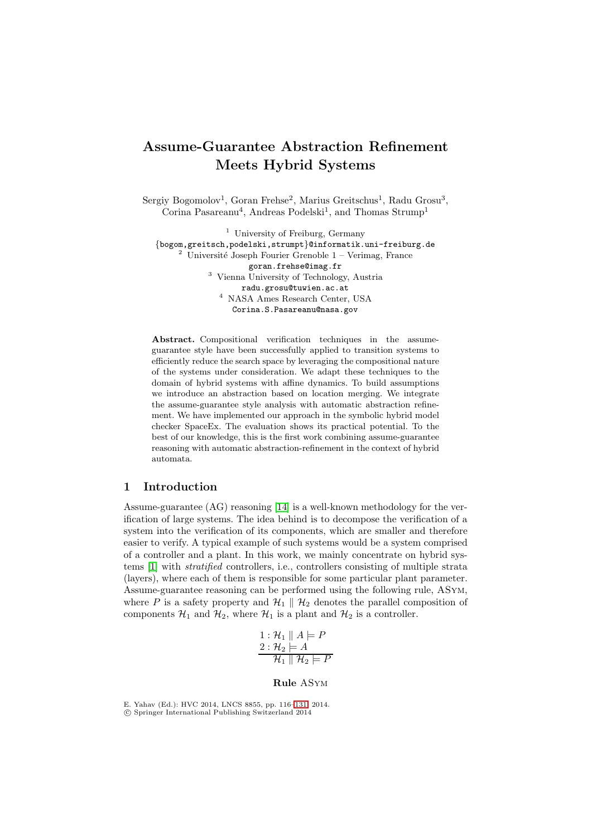# **Assume-Guarantee Abstraction Refinement Meets Hybrid Systems**

Sergiy Bogomolov<sup>1</sup>, Goran Frehse<sup>2</sup>, Marius Greitschus<sup>1</sup>, Radu Grosu<sup>3</sup>, Corina Pasareanu<sup>4</sup>, Andreas Podelski<sup>1</sup>, and Thomas Strump<sup>1</sup>

 $^1$ University of Freiburg, Germany {bogom,greitsch,podelski,strumpt}@informatik.uni-freiburg.de  $\frac{1}{2}$  Université Joseph Fourier Grenoble 1 – Verimag, France goran.frehse@imag.fr

<sup>3</sup> Vienna University of Technology, Austria radu.grosu@tuwien.ac.at <sup>4</sup> NASA Ames Research Center, USA Corina.S.Pasareanu@nasa.gov

**Abstract.** Compositional verification techniques in the assumeguarantee style have been successfully applied to transition systems to efficiently reduce the search space by leveraging the compositional nature of the systems under consideration. We adapt these techniques to the domain of hybrid systems with affine dynamics. To build assumptions we introduce an abstraction based on location merging. We integrate the assume-guarantee style analysis with automatic abstraction refinement. We have implemented our approach in the symbolic hybrid model checker SpaceEx. The evaluation shows its practical potential. To the best of our knowledge, this is the first work combining assume-guarantee reasoning with automatic abstraction-refinement in the context of hybrid automata.

# **1 Introduction**

Assume-guarantee (AG) reasoning [\[14\]](#page-15-0) is a well-known methodology for the verification of large systems. The idea behind is to decompose the verification of a system into the verification of its components, which are smaller and therefore easier to verify. A typical example of such systems would be a system comprised of a controller and a plant. In this work, we mainly concentrate on hybrid systems [\[1\]](#page-15-1) with *stratified* controllers, i.e., controllers consisting of multiple strata (layers), where each of them is responsible for some particular plant parameter. Assume-guarantee reasoning can be performed using the following rule, ASym, where P is a safety property and  $\mathcal{H}_1 \parallel \mathcal{H}_2$  denotes the parallel composition of components  $\mathcal{H}_1$  and  $\mathcal{H}_2$  where  $\mathcal{H}_1$  is a plant and  $\mathcal{H}_2$  is a controller components  $\mathcal{H}_1$  and  $\mathcal{H}_2$ , where  $\mathcal{H}_1$  is a plant and  $\mathcal{H}_2$  is a controller.

$$
1: \mathcal{H}_1 \parallel A \models P
$$
  

$$
2: \mathcal{H}_2 \models A
$$
  

$$
\mathcal{H}_1 \parallel \mathcal{H}_2 \models P
$$

# **Rule** ASym

E. Yahav (Ed.): HVC 2014, LNCS 8855, pp. 116[–131,](#page-15-2) 2014.

-c Springer International Publishing Switzerland 2014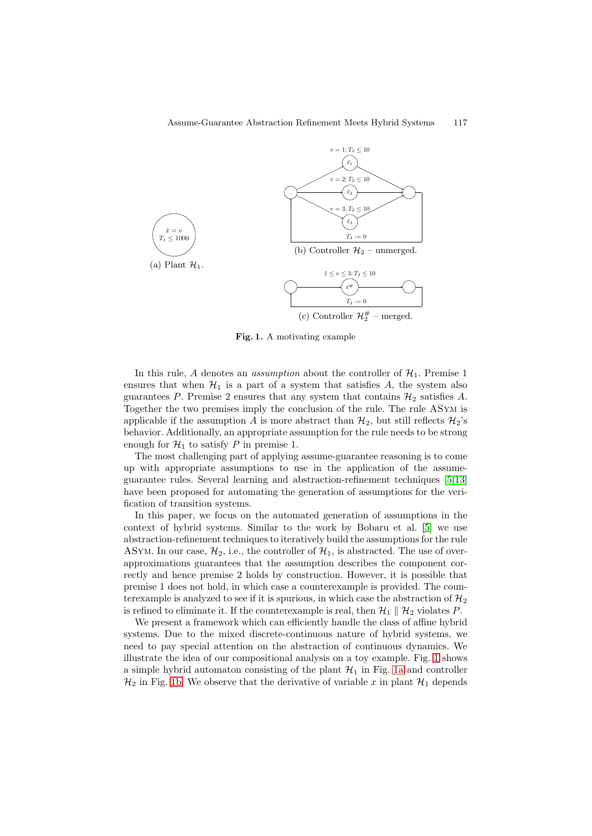<span id="page-1-2"></span><span id="page-1-1"></span><span id="page-1-0"></span>

<span id="page-1-3"></span>**Fig. 1.** A motivating example

In this rule, A denotes an *assumption* about the controller of  $\mathcal{H}_1$ . Premise 1 ensures that when  $\mathcal{H}_1$  is a part of a system that satisfies  $A$ , the system also guarantees P. Premise 2 ensures that any system that contains  $\mathcal{H}_2$  satisfies A. Together the two premises imply the conclusion of the rule. The rule ASym is applicable if the assumption A is more abstract than  $\mathcal{H}_2$ , but still reflects  $\mathcal{H}_2$ 's behavior. Additionally, an appropriate assumption for the rule needs to be strong enough for  $\mathcal{H}_1$  to satisfy P in premise 1.

The most challenging part of applying assume-guarantee reasoning is to come up with appropriate assumptions to use in the application of the assumeguarantee rules. Several learning and abstraction-refinement techniques [\[5](#page-15-3)[,13\]](#page-15-4) have been proposed for automating the generation of assumptions for the verification of transition systems.

In this paper, we focus on the automated generation of assumptions in the context of hybrid systems. Similar to the work by Bobaru et al. [\[5\]](#page-15-3) we use abstraction-refinement techniques to iteratively build the assumptions for the rule ASYM. In our case,  $\mathcal{H}_2$ , i.e., the controller of  $\mathcal{H}_1$ , is abstracted. The use of overapproximations guarantees that the assumption describes the component correctly and hence premise 2 holds by construction. However, it is possible that premise 1 does not hold, in which case a counterexample is provided. The counterexample is analyzed to see if it is spurious, in which case the abstraction of  $\mathcal{H}_2$ is refined to eliminate it. If the counterexample is real, then  $\mathcal{H}_1 \parallel \mathcal{H}_2$  violates P.<br>We present a framework which can efficiently handle the class of affine hybri

We present a framework which can efficiently handle the class of affine hybrid systems. Due to the mixed discrete-continuous nature of hybrid systems, we need to pay special attention on the abstraction of continuous dynamics. We illustrate the idea of our compositional analysis on a toy example. Fig. [1](#page-1-0) shows a simple hybrid automaton consisting of the plant  $\mathcal{H}_1$  in Fig. [1a](#page-1-1) and controller  $\mathcal{H}_2$  in Fig. [1b.](#page-1-2) We observe that the derivative of variable x in plant  $\mathcal{H}_1$  depends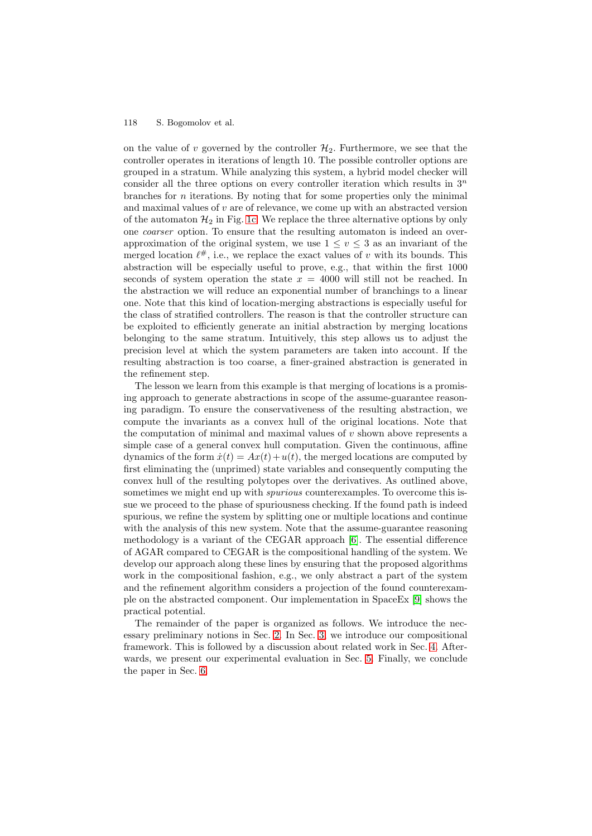on the value of v governed by the controller  $\mathcal{H}_2$ . Furthermore, we see that the controller operates in iterations of length 10. The possible controller options are grouped in a stratum. While analyzing this system, a hybrid model checker will consider all the three options on every controller iteration which results in  $3^n$ branches for  $n$  iterations. By noting that for some properties only the minimal and maximal values of  $v$  are of relevance, we come up with an abstracted version of the automaton  $\mathcal{H}_2$  in Fig. [1c.](#page-1-3) We replace the three alternative options by only one *coarser* option. To ensure that the resulting automaton is indeed an overapproximation of the original system, we use  $1 \le v \le 3$  as an invariant of the merged location  $\ell^{\#}$ , i.e., we replace the exact values of v with its bounds. This<br>abstraction will be especially useful to prove e.g. that within the first 1000 abstraction will be especially useful to prove, e.g., that within the first 1000 seconds of system operation the state  $x = 4000$  will still not be reached. In the abstraction we will reduce an exponential number of branchings to a linear one. Note that this kind of location-merging abstractions is especially useful for the class of stratified controllers. The reason is that the controller structure can be exploited to efficiently generate an initial abstraction by merging locations belonging to the same stratum. Intuitively, this step allows us to adjust the precision level at which the system parameters are taken into account. If the resulting abstraction is too coarse, a finer-grained abstraction is generated in the refinement step.

The lesson we learn from this example is that merging of locations is a promising approach to generate abstractions in scope of the assume-guarantee reasoning paradigm. To ensure the conservativeness of the resulting abstraction, we compute the invariants as a convex hull of the original locations. Note that the computation of minimal and maximal values of  $v$  shown above represents a simple case of a general convex hull computation. Given the continuous, affine dynamics of the form  $\dot{x}(t) = Ax(t) + u(t)$ , the merged locations are computed by first eliminating the (unprimed) state variables and consequently computing the convex hull of the resulting polytopes over the derivatives. As outlined above, sometimes we might end up with *spurious* counterexamples. To overcome this issue we proceed to the phase of spuriousness checking. If the found path is indeed spurious, we refine the system by splitting one or multiple locations and continue with the analysis of this new system. Note that the assume-guarantee reasoning methodology is a variant of the CEGAR approach [\[6\]](#page-15-5). The essential difference of AGAR compared to CEGAR is the compositional handling of the system. We develop our approach along these lines by ensuring that the proposed algorithms work in the compositional fashion, e.g., we only abstract a part of the system and the refinement algorithm considers a projection of the found counterexample on the abstracted component. Our implementation in SpaceEx [\[9\]](#page-15-6) shows the practical potential.

The remainder of the paper is organized as follows. We introduce the necessary preliminary notions in Sec. [2.](#page-3-0) In Sec. [3,](#page-4-0) we introduce our compositional framework. This is followed by a discussion about related work in Sec. [4.](#page-11-0) Afterwards, we present our experimental evaluation in Sec. [5.](#page-11-1) Finally, we conclude the paper in Sec. [6.](#page-14-0)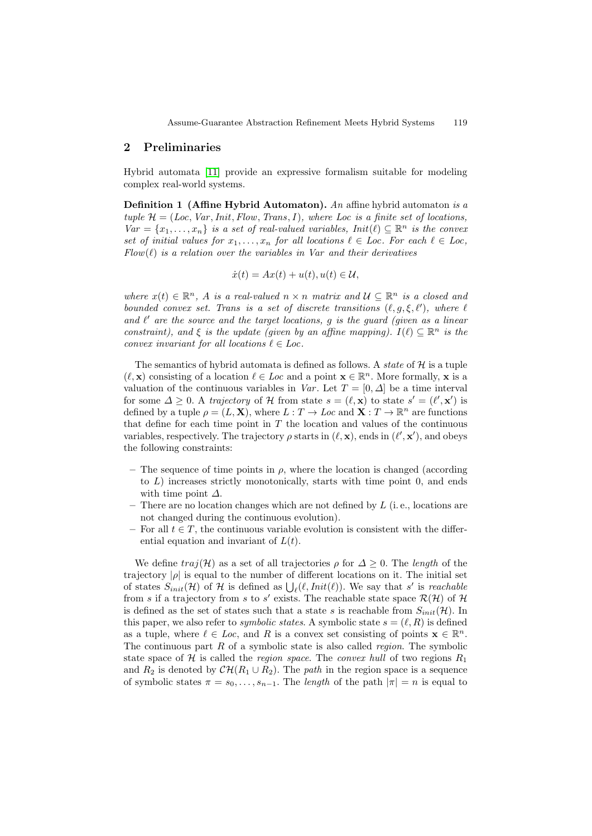## <span id="page-3-0"></span>**2 Preliminaries**

<span id="page-3-1"></span>Hybrid automata [\[11\]](#page-15-7) provide an expressive formalism suitable for modeling complex real-world systems.

**Definition 1 (Affine Hybrid Automaton).** *An* affine hybrid automaton *is a*  $tuple \mathcal{H} = (Loc, Var,Init, Flow, Trans, I), where Loc is a finite set of locations,$  $Var = \{x_1, \ldots, x_n\}$  *is a set of real-valued variables,*  $Init(\ell) \subseteq \mathbb{R}^n$  *is the convex*<br>set of initial values for  $x_1$ ,  $x$  for all locations  $\ell \in Loc$  for each  $\ell \in Loc$ set of initial values for  $x_1, \ldots, x_n$  for all locations  $\ell \in Loc$ . For each  $\ell \in Loc$ ,<br>Flow $(\ell)$  is a relation over the variables in Var and their derivatives  $Flow(\ell)$  *is a relation over the variables in Var and their derivatives* 

$$
\dot{x}(t) = Ax(t) + u(t), u(t) \in \mathcal{U},
$$

*where*  $x(t) \in \mathbb{R}^n$ , A *is a real-valued*  $n \times n$  *matrix and*  $\mathcal{U} \subseteq \mathbb{R}^n$  *is a closed and bounded convex set. Trans is a set of discrete transitions*  $(\ell, g, \xi, \ell')$ , where  $\ell$ <br>and  $\ell'$  are the source and the target locations, a is the quard (given as a linear and  $\ell'$  are the source and the target locations, g is the guard (given as a linear<br>constraint) and  $\xi$  is the undate (given by an affine manning)  $I(\ell) \subset \mathbb{R}^n$  is the *constraint), and*  $\xi$  *is the update (given by an affine mapping).*  $I(\ell) \subseteq \mathbb{R}^n$  *is the*<br>*conver invariant for all locations*  $\ell \in \text{Loc}$ *convex invariant for all locations*  $\ell \in Loc$ .

The semantics of hybrid automata is defined as follows. A *state* of H is a tuple  $(\ell, \mathbf{x})$  consisting of a location  $\ell \in Loc$  and a point  $\mathbf{x} \in \mathbb{R}^n$ . More formally, **x** is a valuation of the continuous variables in *Var*, Let  $T = [0, \Delta]$  be a time interval valuation of the continuous variables in *Var*. Let  $T = [0, \Delta]$  be a time interval for some  $\Delta \geq 0$ . A *trajectory* of H from state  $s = (\ell, \mathbf{x})$  to state  $s' = (\ell', \mathbf{x}')$  is<br>defined by a tuple  $o = (L, \mathbf{X})$  where  $L: T \to Loc$  and  $\mathbf{X}: T \to \mathbb{R}^n$  are functions defined by a tuple  $\rho = (L, \mathbf{X})$ , where  $L: T \to Loc$  and  $\mathbf{X}: T \to \mathbb{R}^n$  are functions that define for each time point in  $T$  the location and values of the continuous variables, respectively. The trajectory  $\rho$  starts in  $(\ell, \mathbf{x})$ , ends in  $(\ell', \mathbf{x}')$ , and obeys<br>the following constraints: the following constraints:

- $\sim$  The sequence of time points in  $\rho$ , where the location is changed (according to  $L$ ) increases strictly monotonically, starts with time point 0, and ends with time point  $\Delta$ .
- **–** There are no location changes which are not defined by L (i. e., locations are not changed during the continuous evolution).
- $-$  For all  $t ∈ T$ , the continuous variable evolution is consistent with the differential equation and invariant of  $L(t)$ .

We define  $traj(\mathcal{H})$  as a set of all trajectories  $\rho$  for  $\Delta \geq 0$ . The *length* of the trajectory  $|\rho|$  is equal to the number of different locations on it. The initial set of states  $S_{init}(\mathcal{H})$  of  $\mathcal{H}$  is defined as  $\bigcup_{\ell}(\ell,Init(\ell))$ . We say that s' is *reachable*<br>from s if a trajectory from s to s' evists. The reachable state space  $\mathcal{P}(\mathcal{H})$  of  $\mathcal{H}$ from s if a trajectory from s to s' exists. The reachable state space  $\mathcal{R}(\mathcal{H})$  of H is defined as the set of states such that a state s is reachable from  $S_{init}(\mathcal{H})$ . In this paper, we also refer to *symbolic states*. A symbolic state  $s = (\ell, R)$  is defined<br>as a tuple, where  $\ell \in \text{Loc}$  and R is a convex set consisting of points  $\mathbf{x} \in \mathbb{R}^n$ as a tuple, where  $\ell \in Loc$ , and R is a convex set consisting of points  $\mathbf{x} \in \mathbb{R}^n$ .<br>The continuous part R of a symbolic state is also called *region*. The symbolic The continuous part R of a symbolic state is also called *region*. The symbolic state space of  $H$  is called the *region space*. The *convex hull* of two regions  $R_1$ and  $R_2$  is denoted by  $\mathcal{CH}(R_1 \cup R_2)$ . The *path* in the region space is a sequence of symbolic states  $\pi = s_0, \ldots, s_{n-1}$ . The *length* of the path  $|\pi| = n$  is equal to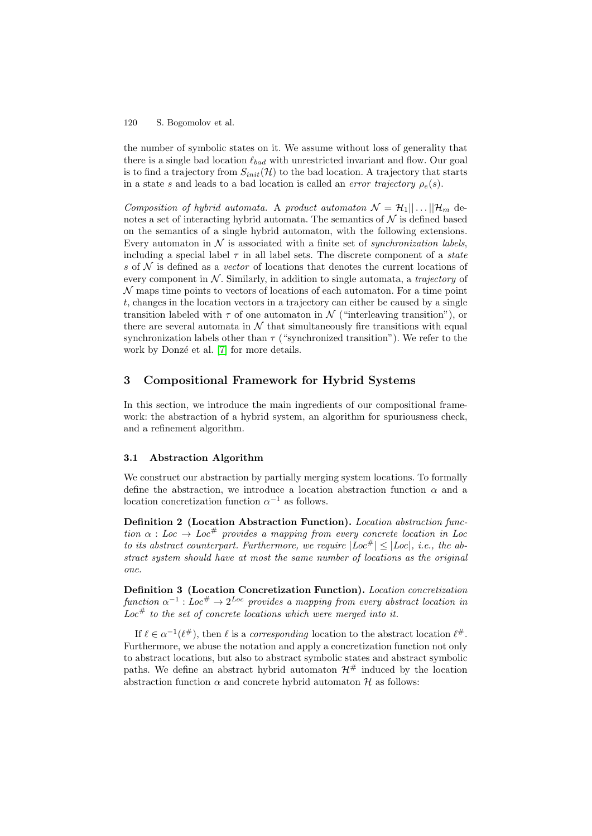the number of symbolic states on it. We assume without loss of generality that there is a single bad location  $\ell_{bad}$  with unrestricted invariant and flow. Our goal<br>is to find a trajectory from  $S_{\ell}$  and  $(H)$  to the bad location. A trajectory that starts is to find a trajectory from  $S_{init}(\mathcal{H})$  to the bad location. A trajectory that starts in a state s and leads to a bad location is called an *error trajectory*  $\rho_e(s)$ .

*Composition of hybrid automata.* A *product automaton*  $\mathcal{N} = \mathcal{H}_1 || \dots || \mathcal{H}_m$  denotes a set of interacting hybrid automata. The semantics of  $\mathcal N$  is defined based on the semantics of a single hybrid automaton, with the following extensions. Every automaton in  $N$  is associated with a finite set of *synchronization labels*, including a special label  $\tau$  in all label sets. The discrete component of a *state* s of <sup>N</sup> is defined as a *vector* of locations that denotes the current locations of every component in N. Similarly, in addition to single automata, a *trajectory* of N maps time points to vectors of locations of each automaton. For a time point t, changes in the location vectors in a trajectory can either be caused by a single transition labeled with  $\tau$  of one automaton in N ("interleaving transition"), or there are several automata in  $\mathcal N$  that simultaneously fire transitions with equal synchronization labels other than  $\tau$  ("synchronized transition"). We refer to the work by Donzé et al. [\[7\]](#page-15-8) for more details.

# <span id="page-4-0"></span>**3 Compositional Framework for Hybrid Systems**

In this section, we introduce the main ingredients of our compositional framework: the abstraction of a hybrid system, an algorithm for spuriousness check, and a refinement algorithm.

#### <span id="page-4-1"></span>**3.1 Abstraction Algorithm**

We construct our abstraction by partially merging system locations. To formally define the abstraction, we introduce a location abstraction function  $\alpha$  and a location concretization function  $\alpha^{-1}$  as follows.

**Definition 2 (Location Abstraction Function).** *Location abstraction function*  $\alpha : Loc \rightarrow Loc^{\#}$  *provides* a mapping from every concrete location in Loc *to its abstract counterpart. Furthermore, we require*  $|Loc^{\#}| \leq |Loc|$ *, i.e., the abstract system should have at most the same number of locations as the original one.*

**Definition 3 (Location Concretization Function).** *Location concretization function*  $\alpha^{-1}$  :  $Loc^{\#} \rightarrow 2^{Loc}$  provides a mapping from every abstract location in  $Loc<sup>#</sup>$  *to the set of concrete locations which were merged into it.* 

If  $\ell \in \alpha^{-1}(\ell^{\#})$ , then  $\ell$  is a *corresponding* location to the abstract location  $\ell^{\#}$ .<br>
rthermore, we abuse the notation and apply a concretization function not only Furthermore, we abuse the notation and apply a concretization function not only to abstract locations, but also to abstract symbolic states and abstract symbolic paths. We define an abstract hybrid automaton  $\mathcal{H}^{\#}$  induced by the location abstraction function  $\alpha$  and concrete hybrid automaton  $\mathcal{H}$  as follows: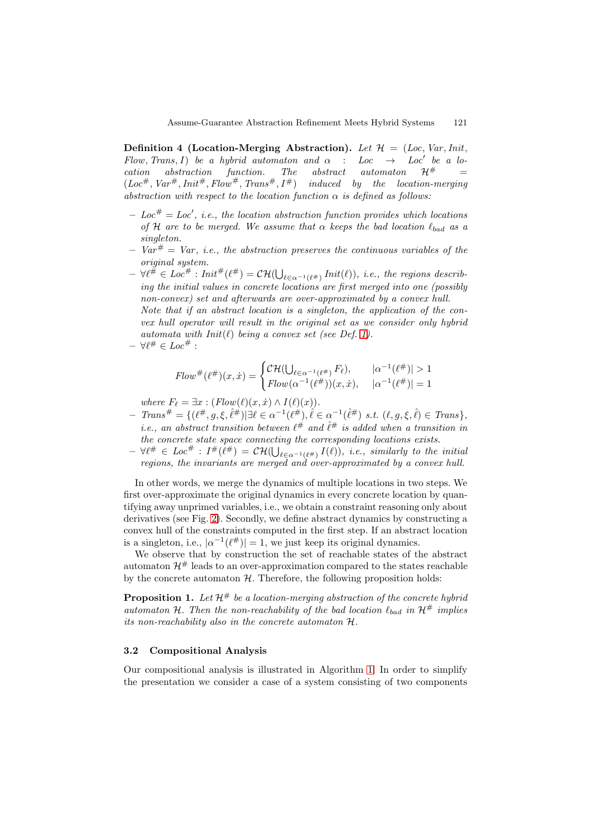**Definition 4 (Location-Merging Abstraction).** *Let*  $\mathcal{H} = (Loc, Var,Init, Flow, Trans, I)$  *be a hybrid automaton and*  $\alpha : Loc \rightarrow Loc'$  *be a lo-Flow*, *Trans*, *I*) *be a hybrid automaton and*  $\alpha$  : *Loc*  $\rightarrow$  *Loc' be a location abstraction function. The abstract automaton*  $\mathcal{H}^{\#}$  =  $(Loc^{\#}, Var^{\#},Init^{\#}, Flow^{\#}, Trans^{\#}, I^{\#})$  *induced by the location-merging*<br>*abstraction with respect to the location function*  $\alpha$  *is defined as follows:*  $a$ *bstraction with respect to the location function*  $\alpha$  *is defined as follows:* 

- **–** *Loc*# = *Loc , i.e., the location abstraction function provides which locations of* H are to be merged. We assume that  $\alpha$  keeps the bad location  $\ell_{bad}$  as a singleton *singleton.*
- $-Var^{\#} = Var$ , *i.e.*, the abstraction preserves the continuous variables of the *original system.*
- $-\forall \ell^{\#} \in Loc^{\#}:Init^{\#}(\ell^{\#}) = \mathcal{CH}(\bigcup_{\ell \in \alpha^{-1}(\ell^{\#})}Init(\ell)), i.e., the regions describing values in some partalization, one first merged into one (neseible).$ *ing the initial values in concrete locations are first merged into one (possibly non-convex) set and afterwards are over-approximated by a convex hull. Note that if an abstract location is a singleton, the application of the convex hull operator will result in the original set as we consider only hybrid*  $\forall \ell^{\#} \in \text{Loc}^{\#}$ .  $\blacksquare$   $\text{Init}(\ell)$  being a convex set (see Def. [1\)](#page-3-1).
- $\forall \ell^{\#} \in Loc^{\#}$ :

$$
Flow^{\#}(\ell^{\#})(x,\dot{x}) = \begin{cases} \mathcal{CH}(\bigcup_{\ell \in \alpha^{-1}(\ell^{\#})} F_{\ell}), & |\alpha^{-1}(\ell^{\#})| > 1 \\ Flow(\alpha^{-1}(\ell^{\#}))(x,\dot{x}), & |\alpha^{-1}(\ell^{\#})| = 1 \end{cases}
$$

*where*  $F_{\ell} = \exists x : (Flow(\ell)(x, \dot{x}) \wedge I(\ell)(x))$ .<br>  $T_{RCDR}^{\#} = I(\ell^{\#}, \epsilon, \ell^{\#}) \exists \ell \in \infty^{-1}(\ell^{\#}, \ell^{\#})$ 

- $\begin{aligned} \n\text{Tr}\left\{ \mathcal{L}_{\mathcal{A}}^{\#} = \{ (\ell^{\#}, g, \xi, \ell^{\#}) | \exists \ell \in \alpha^{-1}(\ell^{\#}), \hat{\ell} \in \alpha^{-1}(\ell^{\#}) \text{ s.t. } (\ell, g, \xi, \hat{\ell}) \in \text{Trans} \}, \\ \n\text{if } \epsilon \text{ is a abstract transition between } \ell^{\#} \text{ and } \hat{\ell}^{\#} \text{ is added when a transition is } \n\end{aligned}$ *i.e.*, an abstract transition between  $\ell^{\#}$  and  $\hat{\ell}^{\#}$  is added when a transition in the concrete state space connecting the corresponding locations exists *the concrete state space connecting the corresponding locations exists.*
- $\forall \ell^* \in \text{Loc}^{\#}: I^*(\ell^*) = \mathcal{CH}(\bigcup_{\ell \in \alpha^{-1}(\ell^*)} I(\ell)), i.e., similarly to the initial regions, the invariants are merged and over-amnormalized by a converbull.$ *regions, the invariants are merged and over-approximated by a convex hull.*

In other words, we merge the dynamics of multiple locations in two steps. We first over-approximate the original dynamics in every concrete location by quantifying away unprimed variables, i.e., we obtain a constraint reasoning only about derivatives (see Fig. [2\)](#page-6-0). Secondly, we define abstract dynamics by constructing a convex hull of the constraints computed in the first step. If an abstract location is a singleton, i.e.,  $|\alpha^{-1}(\ell^{\#})| = 1$ , we just keep its original dynamics.<br>We observe that by construction the set of reachable states of the

We observe that by construction the set of reachable states of the abstract automaton  $\mathcal{H}^{\#}$  leads to an over-approximation compared to the states reachable by the concrete automaton  $H$ . Therefore, the following proposition holds:

<span id="page-5-0"></span>**Proposition 1.** Let  $\mathcal{H}^{\#}$  be a location-merging abstraction of the concrete hybrid *automaton* H. Then the non-reachability of the bad location  $\ell_{bad}$  in  $H^{\#}$  implies<br>*its non-reachability also in the concrete quitamaton*  $H$ *its non-reachability also in the concrete automaton* H*.*

## **3.2 Compositional Analysis**

Our compositional analysis is illustrated in Algorithm 1. In order to simplify the presentation we consider a case of a system consisting of two components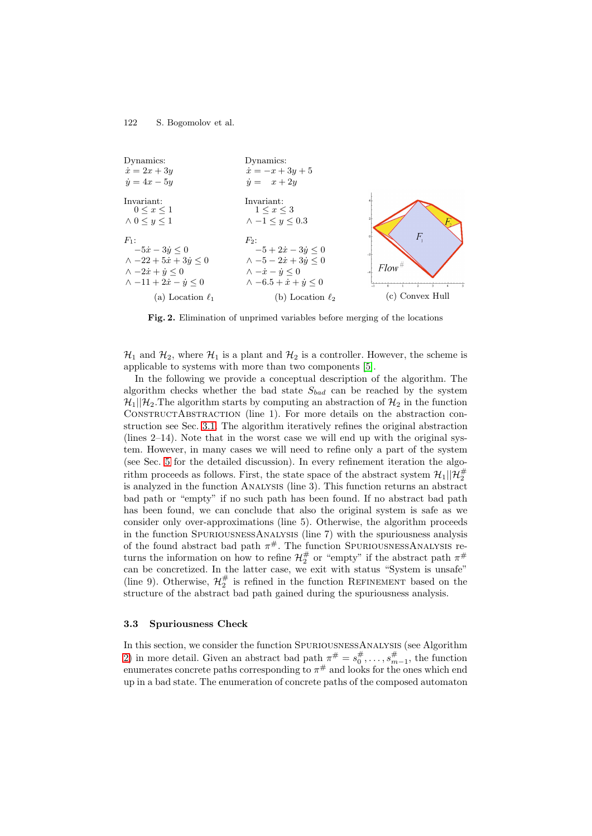<span id="page-6-0"></span>

**Fig. 2.** Elimination of unprimed variables before merging of the locations

 $\mathcal{H}_1$  and  $\mathcal{H}_2$ , where  $\mathcal{H}_1$  is a plant and  $\mathcal{H}_2$  is a controller. However, the scheme is applicable to systems with more than two components [\[5\]](#page-15-3).

In the following we provide a conceptual description of the algorithm. The algorithm checks whether the bad state  $S_{bad}$  can be reached by the system  $\mathcal{H}_1||\mathcal{H}_2$ . The algorithm starts by computing an abstraction of  $\mathcal{H}_2$  in the function ConstructAbstraction (line 1). For more details on the abstraction construction see Sec. [3.1.](#page-4-1) The algorithm iteratively refines the original abstraction (lines 2–14). Note that in the worst case we will end up with the original system. However, in many cases we will need to refine only a part of the system (see Sec. [5](#page-11-1) for the detailed discussion). In every refinement iteration the algorithm proceeds as follows. First, the state space of the abstract system  $\mathcal{H}_1 || \mathcal{H}_2^{\#}$ is analyzed in the function Analysis (line 3). This function returns an abstract bad path or "empty" if no such path has been found. If no abstract bad path has been found, we can conclude that also the original system is safe as we consider only over-approximations (line 5). Otherwise, the algorithm proceeds in the function SpuriousnessAnalysis (line 7) with the spuriousness analysis of the found abstract bad path  $\pi^{\#}$ . The function SPURIOUSNESSANALYSIS returns the information on how to refine  $\mathcal{H}^{\#}_{2}$  or "empty" if the abstract path  $\pi^{\#}$ <br>can be concretized. In the latter case, we exit with status "System is unsafe" can be concretized. In the latter case, we exit with status "System is unsafe" (line 9). Otherwise,  $\mathcal{H}_2^{\#}$  is refined in the function REFINEMENT based on the structure of the abstract bad path gained during the spuriousness analysis.

## **3.3 Spuriousness Check**

In this section, we consider the function SpuriousnessAnalysis (see Algorithm 2) in more detail. Given an abstract bad path  $\pi^{\#} = s_0^{\#}, \ldots, s_{m-1}^{\#}$ , the function enumerates concrete paths corresponding to  $\pi^{\#}$  and looks for the ones which end enumerates concrete paths corresponding to  $\pi^{\#}$  and looks for the ones which end up in a bad state. The enumeration of concrete paths of the composed automaton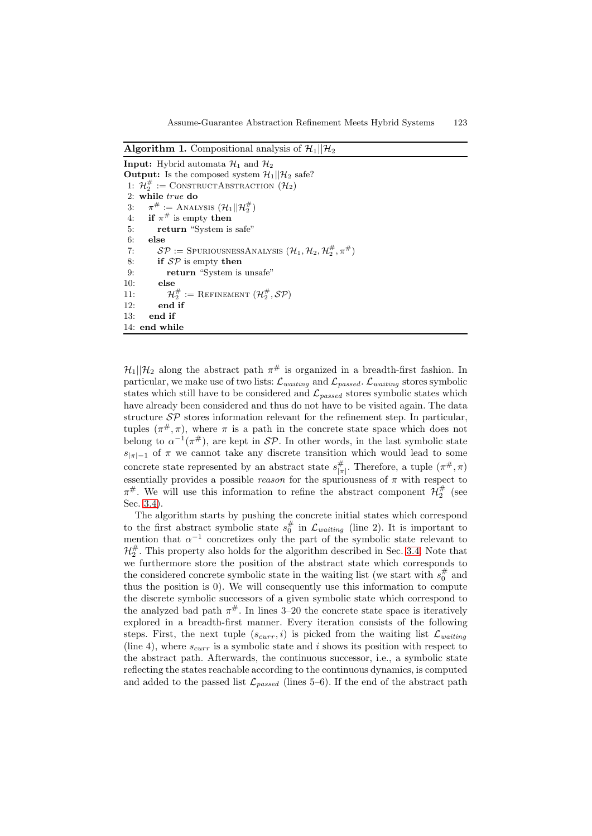**Algorithm 1.** Compositional analysis of  $\mathcal{H}_1||\mathcal{H}_2$ 

**Input:** Hybrid automata  $\mathcal{H}_1$  and  $\mathcal{H}_2$ **Output:** Is the composed system  $\mathcal{H}_1 || \mathcal{H}_2$  safe? 1:  $\mathcal{H}_2^{\#}$  := CONSTRUCTABSTRACTION  $(\mathcal{H}_2)$ 2: **while** true **do** 3:  $\pi^{\#}$  := ANALYSIS  $(\mathcal{H}_1 || \mathcal{H}_2^{\#})$ 4: **if**  $\pi^{\#}$  is empty **then** 5: **return** "System is safe" 6: **else** 7:  $\mathcal{SP} := \text{SpunousnessAnalysis}(\mathcal{H}_1, \mathcal{H}_2, \mathcal{H}_2^{\#}, \pi^{\#})$ 8: **if**  $\mathcal{SP}$  is empty **then**<br>9: **return** "System is 9: **return** "System is unsafe" 10: **else** 11:  $\mathcal{H}_2^{\#} := \text{Refinement } (\mathcal{H}_2^{\#}, \mathcal{SP})$ 12: **end if** 13: **end if** 14: **end while**

 $\mathcal{H}_1||\mathcal{H}_2$  along the abstract path  $\pi^{\#}$  is organized in a breadth-first fashion. In particular, we make use of two lists:  $\mathcal{L}_{waiting}$  and  $\mathcal{L}_{passed}$ .  $\mathcal{L}_{waiting}$  stores symbolic states which still have to be considered and  $\mathcal{L}_{passed}$  stores symbolic states which have already been considered and thus do not have to be visited again. The data structure  $\mathcal{SP}$  stores information relevant for the refinement step. In particular, tuples  $(\pi^*, \pi)$ , where  $\pi$  is a path in the concrete state space which does not belong to  $\alpha^{-1}(\pi^{\#})$ , are kept in  $\mathcal{SP}$ . In other words, in the last symbolic state  $s_{\vert \pi \vert -1}$  of  $\pi$  we cannot take any discrete transition which would lead to some concrete state represented by an abstract state  $s_{\uparrow}^{\#}$  $\frac{\#}{|\pi|}$ . Therefore, a tuple  $(\pi^{\#}, \pi)$ essentially provides a possible *reason* for the spuriousness of  $\pi$  with respect to  $\pi^{\#}$ . We will use this information to refine the abstract component  $\mathcal{H}_{2}^{\#}$  (see Sec. [3.4\)](#page-9-0).

The algorithm starts by pushing the concrete initial states which correspond to the first abstract symbolic state  $s_0^{\#}$  in  $\mathcal{L}_{waiting}$  (line 2). It is important to mention that  $\alpha^{-1}$  concretizes only the part of the symbolic state relevant to mention that  $\alpha^{-1}$  concretizes only the part of the symbolic state relevant to  $\mathcal{H}_2^{\#}$ . This property also holds for the algorithm described in Sec. [3.4.](#page-9-0) Note that we furthermore store the position of the abstract state which corresponds to the considered concrete symbolic state in the waiting list (we start with  $s^{\#}_{0}$  and thus the position is 0). We will consequently use this information to compute thus the position is 0). We will consequently use this information to compute the discrete symbolic successors of a given symbolic state which correspond to the analyzed bad path  $\pi^*$ . In lines 3–20 the concrete state space is iteratively explored in a breadth-first manner. Every iteration consists of the following steps. First, the next tuple  $(s_{curr}, i)$  is picked from the waiting list  $\mathcal{L}_{waiting}$ (line 4), where  $s_{curr}$  is a symbolic state and i shows its position with respect to the abstract path. Afterwards, the continuous successor, i.e., a symbolic state reflecting the states reachable according to the continuous dynamics, is computed and added to the passed list  $\mathcal{L}_{passed}$  (lines 5–6). If the end of the abstract path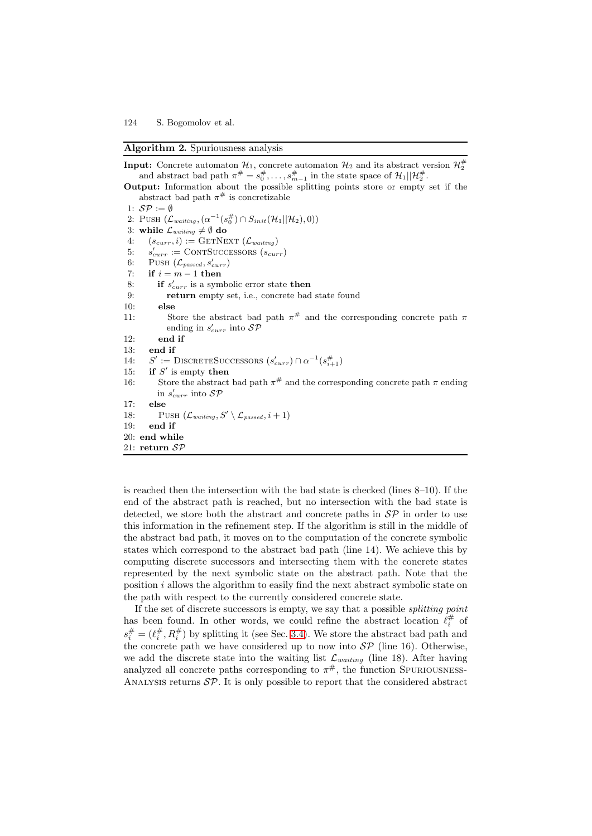#### **Algorithm 2.** Spuriousness analysis

**Input:** Concrete automaton  $\mathcal{H}_1$ , concrete automaton  $\mathcal{H}_2$  and its abstract version  $\mathcal{H}_2^{\#}$ and abstract bad path  $\pi^{\#} = s_0^{\#}, \ldots, s_{m-1}^{\#}$  in the state space of  $\mathcal{H}_1 || \mathcal{H}_2^{\#}$ .

**Output:** Information about the possible splitting points store or empty set if the abstract bad path  $\pi^{\#}$  is concretizable

1:  $SP := \emptyset$ 2: Push  $(\mathcal{L}_{waiting}, (\alpha^{-1}(s_0^{\#}) \cap S_{init}(\mathcal{H}_1 || \mathcal{H}_2), 0))$ 3: **while**  $\mathcal{L}_{waiting} \neq \emptyset$  **do**<br>4:  $(s_{curr}, i) := GETNF$ 4:  $(s_{curr}, i) := \text{GETNext}(\mathcal{L}_{waiting})$ <br>5:  $s'_{curr} := \text{CONTSUCESSORS}(s_{curr})$ 5:  $s'_{curr}$  := CONTSUCCESSORS  $(s_{curr})$ 6: PUSH  $(\mathcal{L}_{passed}, s'_{curr})$ 7: **if**  $i = m - 1$  **then**<br>8: **if**  $s'_{\text{even}}$  is a sym 8: **if**  $s'_{curr}$  is a symbolic error state **then** 9: **return** empty set, i.e., concrete bad state found 10: **else** 11: Store the abstract bad path  $\pi^{\#}$  and the corresponding concrete path  $\pi$ ending in  $s'_{curr}$  into  $\mathcal{SP}$ 12: **end if** 13: **end if**  $14:$  $\mu' := \text{DISCRETESUCCESORS} (s'_{curr}) \cap \alpha^{-1}(s_{i+1}^{\#})$ 15: **if**  $S'$  is empty **then** 16: Store the abstract bad path  $\pi^{\#}$  and the corresponding concrete path  $\pi$  ending in  $s'_{curr}$  into  $S\mathcal{P}$ 17: **else** 18: PUSH  $(\mathcal{L}_{waiting}, S' \setminus \mathcal{L}_{passed}, i + 1)$ 19: **end if** 20: **end while** 21: **return** SP

is reached then the intersection with the bad state is checked (lines 8–10). If the end of the abstract path is reached, but no intersection with the bad state is detected, we store both the abstract and concrete paths in  $\mathcal{SP}$  in order to use this information in the refinement step. If the algorithm is still in the middle of the abstract bad path, it moves on to the computation of the concrete symbolic states which correspond to the abstract bad path (line 14). We achieve this by computing discrete successors and intersecting them with the concrete states represented by the next symbolic state on the abstract path. Note that the position i allows the algorithm to easily find the next abstract symbolic state on the path with respect to the currently considered concrete state.

If the set of discrete successors is empty, we say that a possible *splitting point* has been found. In other words, we could refine the abstract location  $\ell_i^{\#}$  of  $\ell_i^{\#}$  and  $\ell_i^{\#}$  by culliting it (see See 3.4). We stare the abstract had not hand the concrete path we have considered up to now into  $\mathcal{SP}$  (line 16). Otherwise,  $\psi_i^{\#} = (\ell_i^{\#}, R_i^{\#})$  by splitting it (see Sec. [3.4\)](#page-9-0). We store the abstract bad path and  $\ell_i^{\#}$  concrete path we have considered up to now into  $S\mathcal{D}$  (line 16). Otherwise we add the discrete state into the waiting list  $\mathcal{L}_{waiting}$  (line 18). After having analyzed all concrete paths corresponding to  $\pi^{\#}$ , the function SPURIOUSNESS-ANALYSIS returns  $\mathcal{SP}$ . It is only possible to report that the considered abstract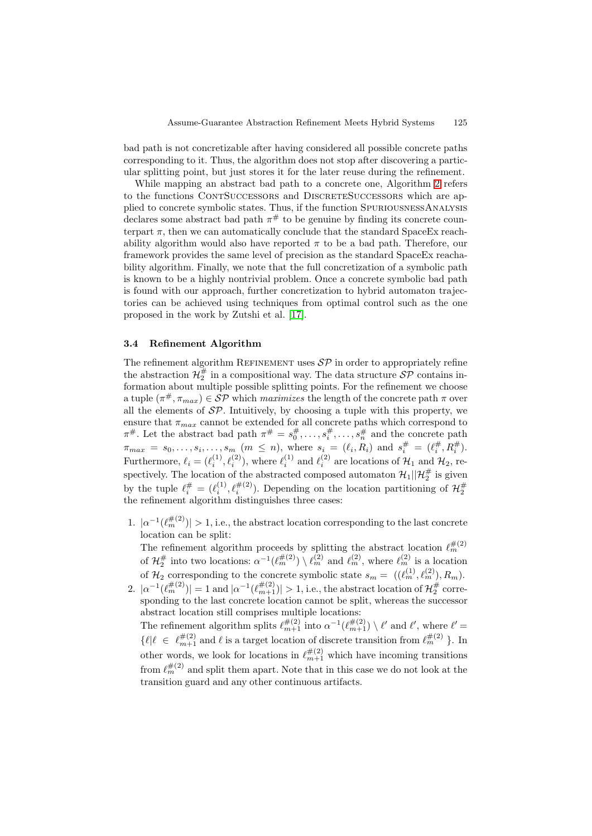bad path is not concretizable after having considered all possible concrete paths corresponding to it. Thus, the algorithm does not stop after discovering a particular splitting point, but just stores it for the later reuse during the refinement.

While mapping an abstract bad path to a concrete one, Algorithm 2 refers to the functions CONTSUCCESSORS and DISCRETESUCCESSORS which are applied to concrete symbolic states. Thus, if the function SpuriousnessAnalysis declares some abstract bad path  $\pi^{\#}$  to be genuine by finding its concrete counterpart  $\pi$ , then we can automatically conclude that the standard SpaceEx reachability algorithm would also have reported  $\pi$  to be a bad path. Therefore, our framework provides the same level of precision as the standard SpaceEx reachability algorithm. Finally, we note that the full concretization of a symbolic path is known to be a highly nontrivial problem. Once a concrete symbolic bad path is found with our approach, further concretization to hybrid automaton trajectories can be achieved using techniques from optimal control such as the one proposed in the work by Zutshi et al. [\[17\]](#page-15-9).

## <span id="page-9-0"></span>**3.4 Refinement Algorithm**

The refinement algorithm REFINEMENT uses  $\mathcal{SP}$  in order to appropriately refine the abstraction  $\mathcal{H}_2^{\#}$  in a compositional way. The data structure  $\mathcal{SP}$  contains information about multiple possible splitting points. For the refinement we choose a tuple  $(\pi^*, \pi_{max}) \in \mathcal{SP}$  which *maximizes* the length of the concrete path  $\pi$  over all the elements of  $\mathcal{SP}$ . Intuitively, by choosing a tuple with this property, we ensure that  $\pi_{max}$  cannot be extended for all concrete paths which correspond to ensure that  $\pi_{max}$  cannot be extended for all concrete paths which correspond to  $\pi^{\#}$ . Let the obstract bad path  $\pi^{\#} = e^{\#}$   $e^{\#}$  and the concrete path  $\pi^{\#}$ . Let the abstract bad path  $\pi^{\#} = s_0^{\#}, \ldots, s_i^{\#}, \ldots, s_n^{\#}$  and the concrete path  $\pi_{max} = s_0, \ldots, s_i, \ldots, s_m \ (m \leq n),$  where  $s_i = (\ell_i, R_i)$  and  $s_i^{\#} = (\ell_i^{\#}, R_i^{\#})$ .<br>  $\Gamma_{i+1}$ Furthermore,  $\ell_i = (\ell_i^{(1)}, \ell_i^{(2)})$ , where  $\ell_i^{(1)}$  and  $\ell_i^{(2)}$  are locations of  $\mathcal{H}_1$  and  $\mathcal{H}_2$ , respectively. The location of the abstracted composed automaton  $\mathcal{H}_1 || \mathcal{H}_2^{\#}$  is given by the tuple  $\ell_i^{\#} = (\ell_i^{(1)}, \ell_i^{\#(2)})$ . Depending on the location partitioning of  $\mathcal{H}_2^{\#}$  the refinement algorithm distinguishes three cases:

1.  $|\alpha^{-1}(\ell)|$  $(\ell_m^{\#(2)}) > 1$ , i.e., the abstract location corresponding to the last concrete on can be split. location can be split:

The refinement algorithm proceeds by splitting the abstract location  $\ell_m^{\#(2)}$ <br>of  $\mathcal{H}_2^{\#}$  into two locations:  $\alpha^{-1}(\ell_m^{\#(2)}) \setminus \ell_m^{(2)}$  and  $\ell_m^{(2)}$ , where  $\ell_m^{(2)}$  is a location  $(\ell_m^{(2)}) \setminus \ell_m^{(2)}$  and  $\ell_m^{(2)}$ , where  $\ell_m^{(2)}$  is a location of  $\mathcal{H}_2$  corresponding to the concrete symbolic state  $s_m = ((\ell_m^{(1)}, \ell_m^{(2)}), R_m)$ .

2.  $|\alpha^{-1}(\ell)|$  $\ell_m^{(2)}$ ) = 1 and  $\alpha^{-1}$ ( $\ell$ )  $\ell_{m+1}^{#(2)}$  > 1, i.e., the abstract location of  $\mathcal{H}_2^{\#}$  corre-<br>the location cannot be split, whereas the successor sponding to the last concrete location cannot be split, whereas the successor abstract location still comprises multiple locations: The refinement algorithm splits  $\ell_{m+1}^{\#(2)}$  into  $\alpha^{-1}(\ell_{m+1}^{\#(2)})$  $\ell_{m+1}^{\#(2)}$   $\setminus$   $\ell'$  and  $\ell'$ , where  $\ell' =$  $\{\ell | \ell \in \ell_{m+1}^{\#(2)} \text{ and } \ell \text{ is a target location of discrete transition from } \ell_m^{\#(2)} \}.$  In other words, we look for locations in  $\ell^{\#(2)}_{m+1}$  which have incoming transitions from  $\ell_m^{(2)}$  and split them apart. Note that in this case we do not look at the transition guard and any other continuous artifacts transition guard and any other continuous artifacts.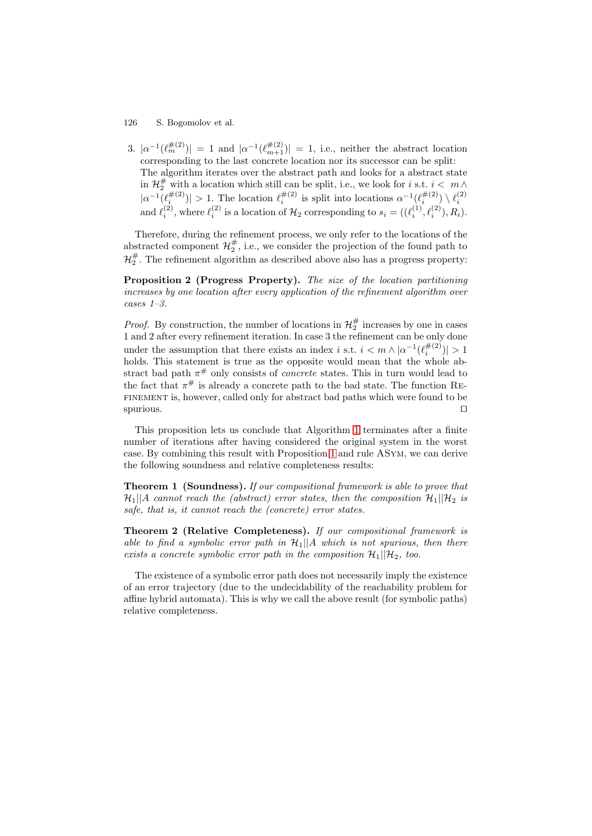3.  $\alpha^{-1}(\ell$  $\ell_m^{(2)}$ ) = 1 and  $\alpha^{-1}$ ( $\ell$ <br>monding to the last con- $\ell_{m+1}^{\#(2)}$  = 1, i.e., neither the abstract location corresponding to the last concrete location nor its successor can be split: The algorithm iterates over the abstract path and looks for a abstract state in  $\mathcal{H}_2^{\#}$  with a location which still can be split, i.e., we look for i s.t.  $i < m \wedge$ <br> $\frac{1}{2} \pi^{(2)} \log \frac{1}{2} \sum_{k=1}^{n} \log \frac{1}{k}$  is split into locations  $e^{-1}(\ell^{\#(2)}) \wedge \ell^{(2)}$  $|\alpha^{-1}(\ell)|$  $\ell_i^{\#(2)}$  > 1. The location  $\ell_i^{\#(2)}$  is split into locations  $\alpha^{-1}(\ell_i)$  $\ell_i^{\#(2)} \rangle \setminus \ell_i^{(2)}$ and  $\ell_i^{(2)}$ , where  $\ell_i^{(2)}$  is a location of  $\mathcal{H}_2$  corresponding to  $s_i = ((\ell_i^{(1)}, \ell_i^{(2)}), R_i)$ .

Therefore, during the refinement process, we only refer to the locations of the abstracted component  $\mathcal{H}_2^{\#}$ , i.e., we consider the projection of the found path to  $\mathcal{H}_2^{\#}$ . The refinement algorithm as described above also has a progress property:

**Proposition 2 (Progress Property).** *The size of the location partitioning increases by one location after every application of the refinement algorithm over cases 1–3.*

*Proof.* By construction, the number of locations in  $\mathcal{H}_2^{\#}$  increases by one in cases 1 and 2 after every refinement iteration. In case 3 the refinement can be only done under the assumption that there exists an index i s.t.  $i < m \wedge |\alpha^{-1}(\ell)|$  $\ell_i^{\#(2)}$  | > 1<br>whole abholds. This statement is true as the opposite would mean that the whole abstract bad path  $\pi^{\#}$  only consists of *concrete* states. This in turn would lead to the fact that  $\pi^{\#}$  is already a concrete path to the bad state. The function REfinement is, however, called only for abstract bad paths which were found to be spurious.  $\square$ 

This proposition lets us conclude that Algorithm 1 terminates after a finite number of iterations after having considered the original system in the worst case. By combining this result with Proposition [1](#page-5-0) and rule ASym, we can derive the following soundness and relative completeness results:

**Theorem 1 (Soundness).** *If our compositional framework is able to prove that*  $\mathcal{H}_1||A$  cannot reach the (abstract) error states, then the composition  $\mathcal{H}_1||\mathcal{H}_2$  is *safe, that is, it cannot reach the (concrete) error states.*

**Theorem 2 (Relative Completeness).** *If our compositional framework is able to find a symbolic error path in* <sup>H</sup>1||A *which is not spurious, then there exists a concrete symbolic error path in the composition*  $\mathcal{H}_1||\mathcal{H}_2$ *, too.* 

The existence of a symbolic error path does not necessarily imply the existence of an error trajectory (due to the undecidability of the reachability problem for affine hybrid automata). This is why we call the above result (for symbolic paths) relative completeness.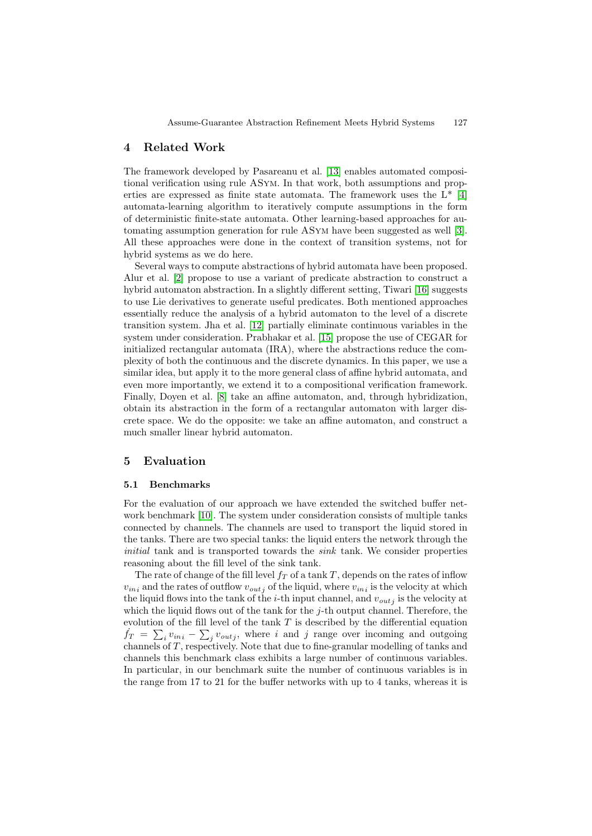# <span id="page-11-0"></span>**4 Related Work**

The framework developed by Pasareanu et al. [\[13\]](#page-15-4) enables automated compositional verification using rule ASym. In that work, both assumptions and properties are expressed as finite state automata. The framework uses the  $L^*$  [\[4\]](#page-15-10) automata-learning algorithm to iteratively compute assumptions in the form of deterministic finite-state automata. Other learning-based approaches for automating assumption generation for rule ASym have been suggested as well [\[3\]](#page-15-11). All these approaches were done in the context of transition systems, not for hybrid systems as we do here.

Several ways to compute abstractions of hybrid automata have been proposed. Alur et al. [\[2\]](#page-15-12) propose to use a variant of predicate abstraction to construct a hybrid automaton abstraction. In a slightly different setting, Tiwari [\[16\]](#page-15-13) suggests to use Lie derivatives to generate useful predicates. Both mentioned approaches essentially reduce the analysis of a hybrid automaton to the level of a discrete transition system. Jha et al. [\[12\]](#page-15-14) partially eliminate continuous variables in the system under consideration. Prabhakar et al. [\[15\]](#page-15-15) propose the use of CEGAR for initialized rectangular automata (IRA), where the abstractions reduce the complexity of both the continuous and the discrete dynamics. In this paper, we use a similar idea, but apply it to the more general class of affine hybrid automata, and even more importantly, we extend it to a compositional verification framework. Finally, Doyen et al. [\[8\]](#page-15-16) take an affine automaton, and, through hybridization, obtain its abstraction in the form of a rectangular automaton with larger discrete space. We do the opposite: we take an affine automaton, and construct a much smaller linear hybrid automaton.

## <span id="page-11-1"></span>**5 Evaluation**

## **5.1 Benchmarks**

For the evaluation of our approach we have extended the switched buffer network benchmark [\[10\]](#page-15-17). The system under consideration consists of multiple tanks connected by channels. The channels are used to transport the liquid stored in the tanks. There are two special tanks: the liquid enters the network through the *initial* tank and is transported towards the *sink* tank. We consider properties reasoning about the fill level of the sink tank.

The rate of change of the fill level  $f_T$  of a tank  $T$ , depends on the rates of inflow  $v_{ini}$  and the rates of outflow  $v_{outj}$  of the liquid, where  $v_{ini}$  is the velocity at which the liquid flows into the tank of the *i*-th input channel, and  $v_{outj}$  is the velocity at which the liquid flows out of the tank for the j-th output channel. Therefore, the evolution of the fill level of the tank  $T$  is described by the differential equation evolution of the fill level of the tank T is described by the differential equation  $f_T = \sum y_{init} - \sum y_{init}$  where *i* and *i* range over incoming and outgoing  $f_T = \sum_i v_{ini} - \sum_j v_{outj}$ , where i and j range over incoming and outgoing<br>channels of T respectively Note that due to fine-granular modelling of tanks and channels of  $T$ , respectively. Note that due to fine-granular modelling of tanks and channels this benchmark class exhibits a large number of continuous variables. In particular, in our benchmark suite the number of continuous variables is in the range from 17 to 21 for the buffer networks with up to 4 tanks, whereas it is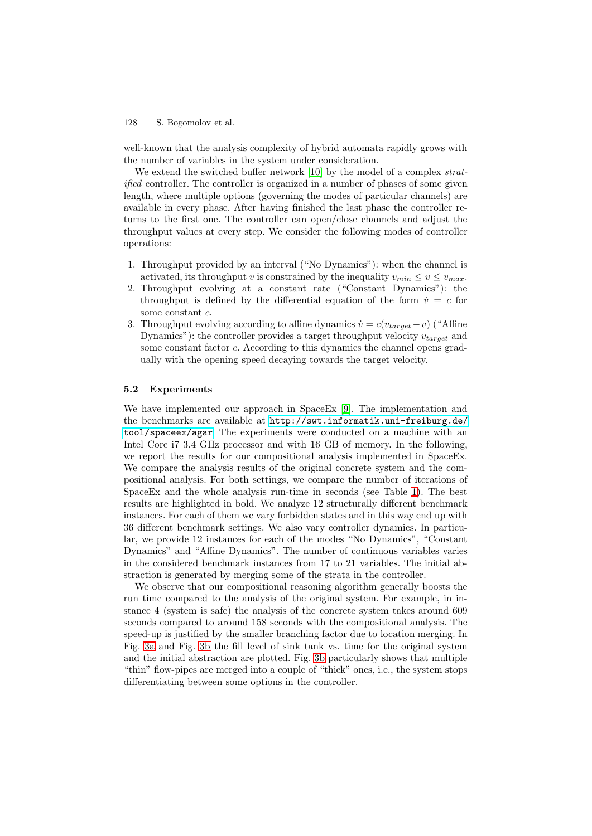well-known that the analysis complexity of hybrid automata rapidly grows with the number of variables in the system under consideration.

We extend the switched buffer network [\[10\]](#page-15-17) by the model of a complex *stratified* controller. The controller is organized in a number of phases of some given length, where multiple options (governing the modes of particular channels) are available in every phase. After having finished the last phase the controller returns to the first one. The controller can open/close channels and adjust the throughput values at every step. We consider the following modes of controller operations:

- 1. Throughput provided by an interval ("No Dynamics"): when the channel is activated, its throughput v is constrained by the inequality  $v_{min} \le v \le v_{max}$ .
- 2. Throughput evolving at a constant rate ("Constant Dynamics"): the throughput is defined by the differential equation of the form  $\dot{v} = c$  for some constant c.
- 3. Throughput evolving according to affine dynamics  $\dot{v} = c(v_{target} v)$  ("Affine Dynamics"): the controller provides a target throughput velocity  $v_{target}$  and some constant factor c. According to this dynamics the channel opens gradually with the opening speed decaying towards the target velocity.

# **5.2 Experiments**

We have implemented our approach in SpaceEx [\[9\]](#page-15-6). The implementation and the benchmarks are available at [http://swt.informatik.uni-freiburg.de/](http://swt.informatik.uni-freiburg.de/tool/spaceex/agar) [tool/spaceex/agar](http://swt.informatik.uni-freiburg.de/tool/spaceex/agar). The experiments were conducted on a machine with an Intel Core i7 3.4 GHz processor and with 16 GB of memory. In the following, we report the results for our compositional analysis implemented in SpaceEx. We compare the analysis results of the original concrete system and the compositional analysis. For both settings, we compare the number of iterations of SpaceEx and the whole analysis run-time in seconds (see Table [1\)](#page-13-0). The best results are highlighted in bold. We analyze 12 structurally different benchmark instances. For each of them we vary forbidden states and in this way end up with 36 different benchmark settings. We also vary controller dynamics. In particular, we provide 12 instances for each of the modes "No Dynamics", "Constant Dynamics" and "Affine Dynamics". The number of continuous variables varies in the considered benchmark instances from 17 to 21 variables. The initial abstraction is generated by merging some of the strata in the controller.

We observe that our compositional reasoning algorithm generally boosts the run time compared to the analysis of the original system. For example, in instance 4 (system is safe) the analysis of the concrete system takes around 609 seconds compared to around 158 seconds with the compositional analysis. The speed-up is justified by the smaller branching factor due to location merging. In Fig. [3a](#page-14-1) and Fig. [3b](#page-14-2) the fill level of sink tank vs. time for the original system and the initial abstraction are plotted. Fig. [3b](#page-14-2) particularly shows that multiple "thin" flow-pipes are merged into a couple of "thick" ones, i.e., the system stops differentiating between some options in the controller.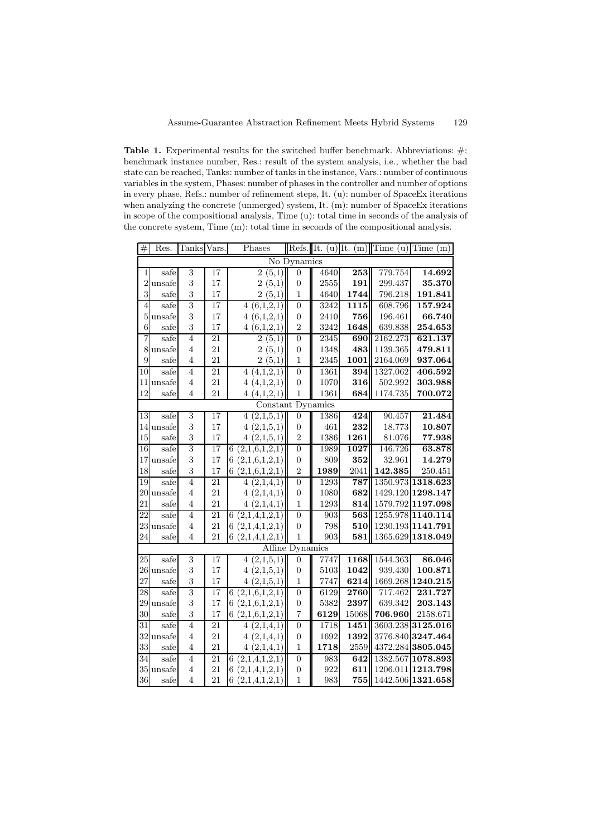<span id="page-13-0"></span>**Table 1.** Experimental results for the switched buffer benchmark. Abbreviations: #: benchmark instance number, Res.: result of the system analysis, i.e., whether the bad state can be reached, Tanks: number of tanks in the instance, Vars.: number of continuous variables in the system, Phases: number of phases in the controller and number of options in every phase, Refs.: number of refinement steps, It. (u): number of SpaceEx iterations when analyzing the concrete (unmerged) system, It. (m): number of SpaceEx iterations in scope of the compositional analysis, Time (u): total time in seconds of the analysis of the concrete system, Time (m): total time in seconds of the compositional analysis.

| #                    | Res.        | Tanks Vars.    |    | Phases                         | Refs.            |                   |                  |             | It. (u) It. (m) Time (u) Time (m) |
|----------------------|-------------|----------------|----|--------------------------------|------------------|-------------------|------------------|-------------|-----------------------------------|
| No Dynamics          |             |                |    |                                |                  |                   |                  |             |                                   |
| 1                    | safe        | 3              | 17 | 2(5,1)                         | 0                | 4640              | $\overline{253}$ | 779.754     | 14.692                            |
| $\overline{2}$       | unsafe      | 3              | 17 | 2(5,1)                         | $\boldsymbol{0}$ | 2555              | 191              | 299.437     | 35.370                            |
| 3                    | safe        | 3              | 17 | 2(5,1)                         | $\mathbf{1}$     | 4640              | 1744             | 796.218     | 191.841                           |
| $\overline{4}$       | safe        | $\overline{3}$ | 17 | (6,1,2,1)<br>4                 | $\overline{0}$   | 3242              | 1115             | 608.796     | 157.924                           |
| $\bf 5$              | unsafe      | 3              | 17 | 4(6,1,2,1)                     | $\boldsymbol{0}$ | 2410              | 756              | 196.461     | 66.740                            |
| $\,6$                | safe        | 3              | 17 | 4(6,1,2,1)                     | $\overline{2}$   | 3242              | 1648             | 639.838     | 254.653                           |
| $\overline{7}$       | safe        | $\overline{4}$ | 21 | $\overline{2(5,1)}$            | $\overline{0}$   | 2345              | 690              | 2162.273    | 621.137                           |
| 8                    | unsafe      | $\overline{4}$ | 21 | 2(5,1)                         | $\boldsymbol{0}$ | 1348              | 483              | 1139.365    | 479.811                           |
| $\boldsymbol{9}$     | safe        | $\overline{4}$ | 21 | 2(5,1)                         | $\mathbf{1}$     | 2345              | 1001             | 2164.069    | 937.064                           |
| 10                   | safe        | $\overline{4}$ | 21 | 4(4,1,2,1)                     | $\boldsymbol{0}$ | 1361              | 394              | 1327.062    | 406.592                           |
| 11                   | unsafe      | $\overline{4}$ | 21 | 4(4,1,2,1)                     | $\overline{0}$   | 1070              | 316              | $502.992\,$ | 303.988                           |
| 12                   | safe        | $\overline{4}$ | 21 | 4(4,1,2,1)                     | $\mathbf{1}$     | 1361              | 684              | 1174.735    | 700.072                           |
| Dynamics<br>Constant |             |                |    |                                |                  |                   |                  |             |                                   |
| 13                   | safe        | $\overline{3}$ | 17 | 4(2,1,5,1)                     | $\overline{0}$   | 1386              | 424              | 90.457      | 21.484                            |
| 14                   | unsafe      | $\overline{3}$ | 17 | 4(2,1,5,1)                     | $\overline{0}$   | 461               | 232              | 18.773      | 10.807                            |
| 15                   | safe        | 3              | 17 | 4(2,1,5,1)                     | $\overline{2}$   | 1386              | 1261             | 81.076      | 77.938                            |
| 16                   | safe        | $\overline{3}$ | 17 | $\overline{6}$ $(2,1,6,1,2,1)$ | $\overline{0}$   | 1989              | 1027             | 146.726     | 63.878                            |
| 17                   | unsafe      | 3              | 17 | 6(2,1,6,1,2,1)                 | $\boldsymbol{0}$ | 809               | 352              | 32.961      | 14.279                            |
| 18                   | safe        | $\sqrt{3}$     | 17 | 6(2,1,6,1,2,1)                 | $\overline{2}$   | 1989              | 2041             | 142.385     | 250.451                           |
| 19                   | safe        | $\overline{4}$ | 21 | 4(2,1,4,1)                     | $\boldsymbol{0}$ | 1293              | 787              |             | 1350.973 1318.623                 |
| 20                   | unsafe      | $\overline{4}$ | 21 | 4(2,1,4,1)                     | $\boldsymbol{0}$ | 1080              | 682              |             | 1429.120 1298.147                 |
| 21                   | safe        | $\overline{4}$ | 21 | 4(2,1,4,1)                     | $\mathbf{1}$     | 1293              | 814              |             | 1579.792 1197.098                 |
| $\overline{22}$      | safe        | $\overline{4}$ | 21 | (2,1,4,1,2,1)<br>6             | $\boldsymbol{0}$ | 903               | 563              |             | 1255.978 1140.114                 |
|                      | 23 unsafe   | $\overline{4}$ | 21 | 6(2,1,4,1,2,1)                 | $\overline{0}$   | 798               | 510              |             | 1230.193 1141.791                 |
| 24                   | safe        | $\overline{4}$ | 21 | 6(2,1,4,1,2,1)                 | $\overline{1}$   | 903               | 581              |             | 1365.629 1318.049                 |
| Affine Dynamics      |             |                |    |                                |                  |                   |                  |             |                                   |
| 25                   | safe        | $\overline{3}$ | 17 | 4(2,1,5,1)                     | $\overline{0}$   | $77\overline{47}$ | 1168             | 1544.363    | 86.046                            |
|                      | $26$ unsafe | 3              | 17 | 4(2,1,5,1)                     | $\boldsymbol{0}$ | 5103              | 1042             | 939.430     | 100.871                           |
| 27                   | safe        | 3              | 17 | 4(2,1,5,1)                     | $\mathbf{1}$     | 7747              | 6214             |             | 1669.268 1240.215                 |
| 28                   | safe        | $\overline{3}$ | 17 | 6(2,1,6,1,2,1)                 | $\boldsymbol{0}$ | 6129              | 2760             | 717.462     | 231.727                           |
| 29                   | unsafe      | 3              | 17 | 6(2,1,6,1,2,1)                 | $\boldsymbol{0}$ | 5382              | 2397             | 639.342     | 203.143                           |
| 30                   | safe        | $\sqrt{3}$     | 17 | 6(2,1,6,1,2,1)                 | $\overline{7}$   | 6129              | 15068            | 706.960     | 2158.671                          |
| 31                   | safe        | $\overline{4}$ | 21 | (2,1,4,1)<br>4                 | $\overline{0}$   | 1718              | 1451             |             | 3603.238 3125.016                 |
| 32                   | unsafe      | $\overline{4}$ | 21 | 4(2,1,4,1)                     | $\overline{0}$   | 1692              | 1392             |             | 3776.840 3247.464                 |
| 33                   | safe        | $\overline{4}$ | 21 | 4(2,1,4,1)                     | $\mathbf{1}$     | 1718              | 2559             |             | 4372.284 3805.045                 |
| 34                   | safe        | $\overline{4}$ | 21 | $\overline{6(2,1,4,1,2,1)}$    | $\boldsymbol{0}$ | 983               | 642              |             | 1382.567 1078.893                 |
| 35                   | unsafe      | $\overline{4}$ | 21 | 6(2,1,4,1,2,1)                 | $\overline{0}$   | 922               | 611              |             | 1206.011 1213.798                 |
| 36                   | safe        | $\overline{4}$ | 21 | 6(2,1,4,1,2,1)                 | $\mathbf{1}$     | 983               | 755              |             | 1442.506 1321.658                 |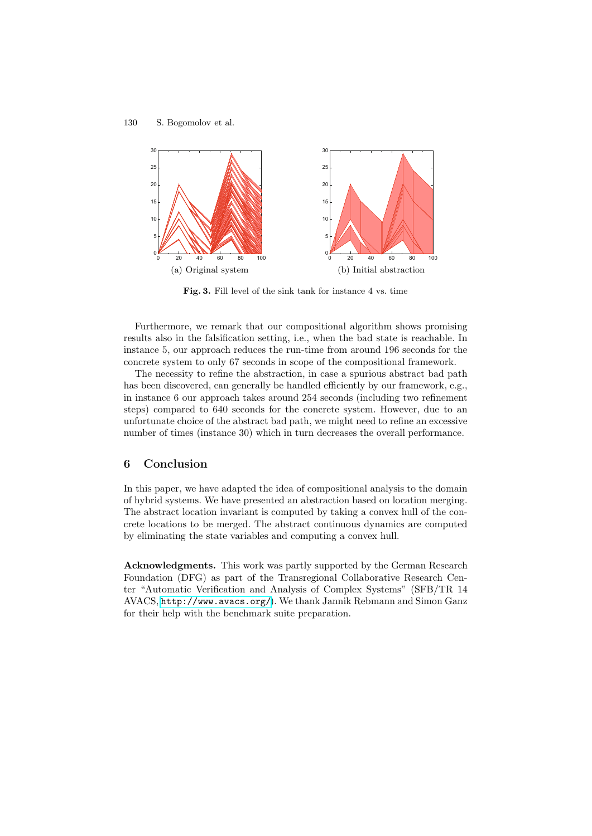<span id="page-14-2"></span><span id="page-14-1"></span>

**Fig. 3.** Fill level of the sink tank for instance 4 vs. time

Furthermore, we remark that our compositional algorithm shows promising results also in the falsification setting, i.e., when the bad state is reachable. In instance 5, our approach reduces the run-time from around 196 seconds for the concrete system to only 67 seconds in scope of the compositional framework.

The necessity to refine the abstraction, in case a spurious abstract bad path has been discovered, can generally be handled efficiently by our framework, e.g., in instance 6 our approach takes around 254 seconds (including two refinement steps) compared to 640 seconds for the concrete system. However, due to an unfortunate choice of the abstract bad path, we might need to refine an excessive number of times (instance 30) which in turn decreases the overall performance.

# <span id="page-14-0"></span>**6 Conclusion**

In this paper, we have adapted the idea of compositional analysis to the domain of hybrid systems. We have presented an abstraction based on location merging. The abstract location invariant is computed by taking a convex hull of the concrete locations to be merged. The abstract continuous dynamics are computed by eliminating the state variables and computing a convex hull.

**Acknowledgments.** This work was partly supported by the German Research Foundation (DFG) as part of the Transregional Collaborative Research Center "Automatic Verification and Analysis of Complex Systems" (SFB/TR 14 AVACS, <http://www.avacs.org/>). We thank Jannik Rebmann and Simon Ganz for their help with the benchmark suite preparation.